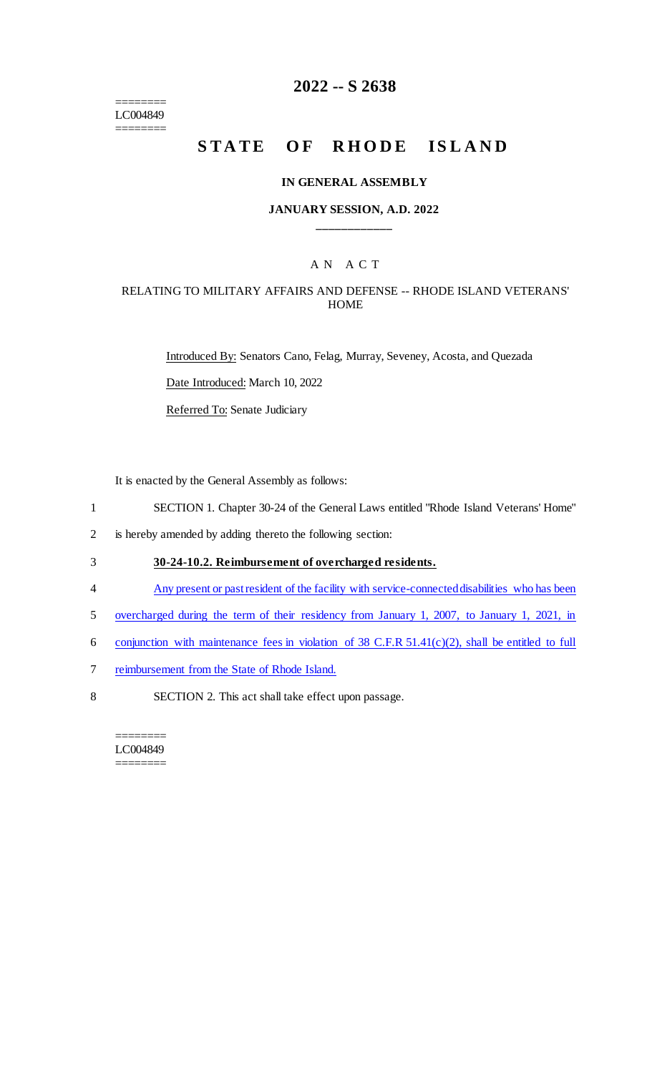======== LC004849 ========

# **2022 -- S 2638**

# **STATE OF RHODE ISLAND**

#### **IN GENERAL ASSEMBLY**

## **JANUARY SESSION, A.D. 2022 \_\_\_\_\_\_\_\_\_\_\_\_**

## A N A C T

#### RELATING TO MILITARY AFFAIRS AND DEFENSE -- RHODE ISLAND VETERANS' **HOME**

Introduced By: Senators Cano, Felag, Murray, Seveney, Acosta, and Quezada Date Introduced: March 10, 2022 Referred To: Senate Judiciary

It is enacted by the General Assembly as follows:

- 1 SECTION 1. Chapter 30-24 of the General Laws entitled "Rhode Island Veterans' Home"
- 2 is hereby amended by adding thereto the following section:
- 3 **30-24-10.2. Reimbursement of overcharged residents.**
- 4 Any present or past resident of the facility with service-connected disabilities who has been
- 5 overcharged during the term of their residency from January 1, 2007, to January 1, 2021, in
- 6 conjunction with maintenance fees in violation of 38 C.F.R 51.41(c)(2), shall be entitled to full
- 7 reimbursement from the State of Rhode Island.
- 8 SECTION 2. This act shall take effect upon passage.

======== LC004849 ========